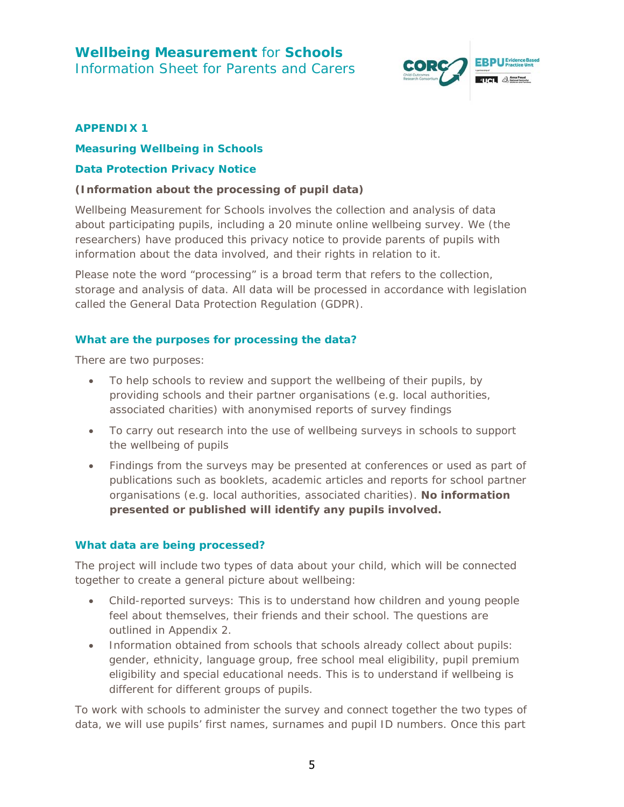

# **APPENDIX 1**

#### **Measuring Wellbeing in Schools**

#### **Data Protection Privacy Notice**

#### **(Information about the processing of pupil data)**

Wellbeing Measurement for Schools involves the collection and analysis of data about participating pupils, including a 20 minute online wellbeing survey. We (the researchers) have produced this privacy notice to provide parents of pupils with information about the data involved, and their rights in relation to it.

Please note the word "processing" is a broad term that refers to the collection, storage and analysis of data. All data will be processed in accordance with legislation called the General Data Protection Regulation (GDPR).

#### **What are the purposes for processing the data?**

There are two purposes:

- To help schools to review and support the wellbeing of their pupils, by providing schools and their partner organisations (e.g. local authorities, associated charities) with anonymised reports of survey findings
- To carry out research into the use of wellbeing surveys in schools to support the wellbeing of pupils
- Findings from the surveys may be presented at conferences or used as part of publications such as booklets, academic articles and reports for school partner organisations (e.g. local authorities, associated charities). **No information presented or published will identify any pupils involved.**

#### **What data are being processed?**

The project will include two types of data about your child, which will be connected together to create a general picture about wellbeing:

- *Child-reported surveys:* This is to understand how children and young people feel about themselves, their friends and their school. The questions are outlined in Appendix 2.
- *Information obtained from schools that schools already collect about pupils:* gender, ethnicity, language group, free school meal eligibility, pupil premium eligibility and special educational needs. This is to understand if wellbeing is different for different groups of pupils.

To work with schools to administer the survey and connect together the two types of data, we will use pupils' first names, surnames and pupil ID numbers. Once this part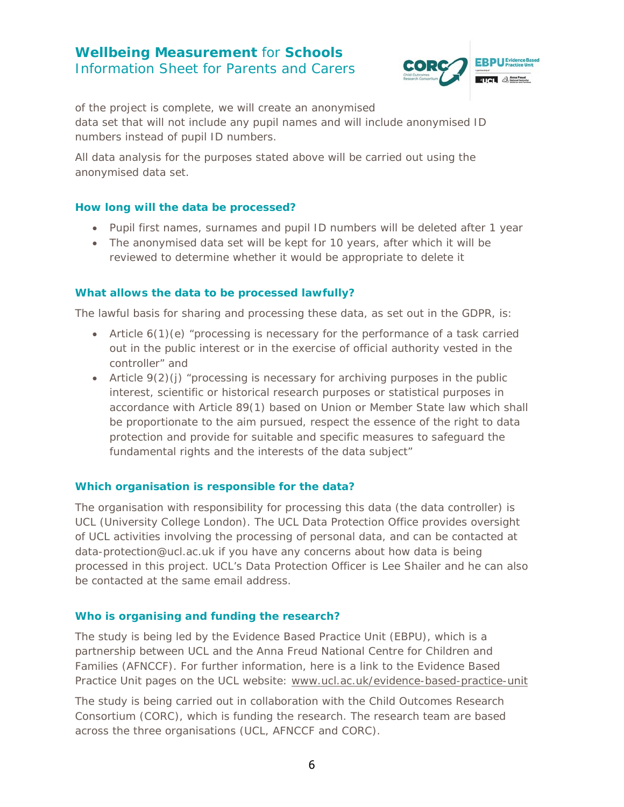# **Wellbeing Measurement** *for* **Schools**  *Information Sheet for Parents and Carers*



of the project is complete, we will create an anonymised data set that will not include any pupil names and will include anonymised ID numbers instead of pupil ID numbers.

All data analysis for the purposes stated above will be carried out using the anonymised data set.

# **How long will the data be processed?**

- Pupil first names, surnames and pupil ID numbers will be deleted after 1 year
- The anonymised data set will be kept for 10 years, after which it will be reviewed to determine whether it would be appropriate to delete it

#### **What allows the data to be processed lawfully?**

The lawful basis for sharing and processing these data, as set out in the GDPR, is:

- Article 6(1)(e) "processing is necessary for the performance of a task carried out in the public interest or in the exercise of official authority vested in the controller" and
- Article  $9(2)(i)$  "processing is necessary for archiving purposes in the public interest, scientific or historical research purposes or statistical purposes in accordance with Article 89(1) based on Union or Member State law which shall be proportionate to the aim pursued, respect the essence of the right to data protection and provide for suitable and specific measures to safeguard the fundamental rights and the interests of the data subject"

# **Which organisation is responsible for the data?**

The organisation with responsibility for processing this data (the data controller) is UCL (University College London). The UCL Data Protection Office provides oversight of UCL activities involving the processing of personal data, and can be contacted at data-protection@ucl.ac.uk if you have any concerns about how data is being processed in this project. UCL's Data Protection Officer is Lee Shailer and he can also be contacted at the same email address.

# **Who is organising and funding the research?**

The study is being led by the Evidence Based Practice Unit (EBPU), which is a partnership between UCL and the Anna Freud National Centre for Children and Families (AFNCCF). For further information, here is a link to the Evidence Based Practice Unit pages on the UCL website: www.ucl.ac.uk/evidence-based-practice-unit

The study is being carried out in collaboration with the Child Outcomes Research Consortium (CORC), which is funding the research. The research team are based across the three organisations (UCL, AFNCCF and CORC).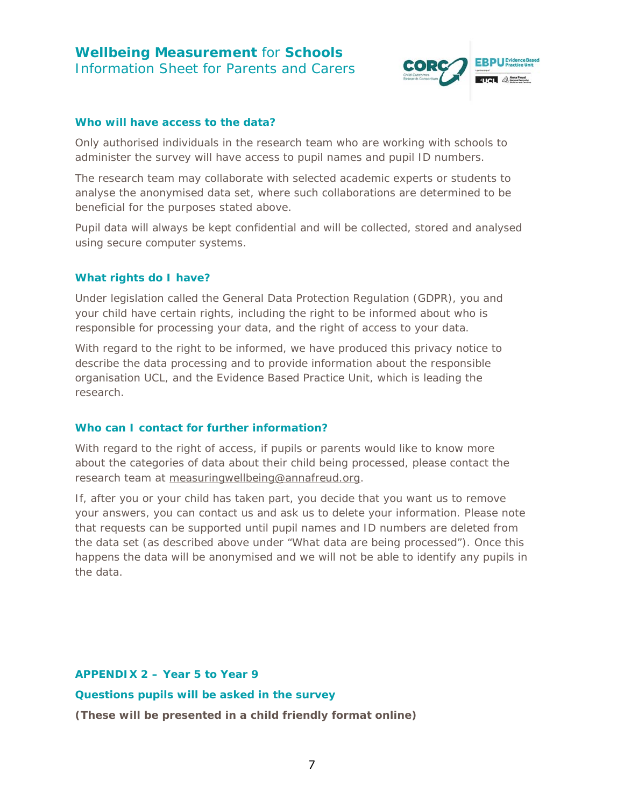

#### **Who will have access to the data?**

Only authorised individuals in the research team who are working with schools to administer the survey will have access to pupil names and pupil ID numbers.

The research team may collaborate with selected academic experts or students to analyse the anonymised data set, where such collaborations are determined to be beneficial for the purposes stated above.

Pupil data will always be kept confidential and will be collected, stored and analysed using secure computer systems.

# **What rights do I have?**

Under legislation called the General Data Protection Regulation (GDPR), you and your child have certain rights, including the right to be informed about who is responsible for processing your data, and the right of access to your data.

With regard to the right to be informed, we have produced this privacy notice to describe the data processing and to provide information about the responsible organisation UCL, and the Evidence Based Practice Unit, which is leading the research.

# **Who can I contact for further information?**

With regard to the right of access, if pupils or parents would like to know more about the categories of data about their child being processed, please contact the research team at measuringwellbeing@annafreud.org.

If, after you or your child has taken part, you decide that you want us to remove your answers, you can contact us and ask us to delete your information. Please note that requests can be supported until pupil names and ID numbers are deleted from the data set (as described above under "What data are being processed"). Once this happens the data will be anonymised and we will not be able to identify any pupils in the data.

# **APPENDIX 2 – Year 5 to Year 9**

**Questions pupils will be asked in the survey** 

**(These will be presented in a child friendly format online)**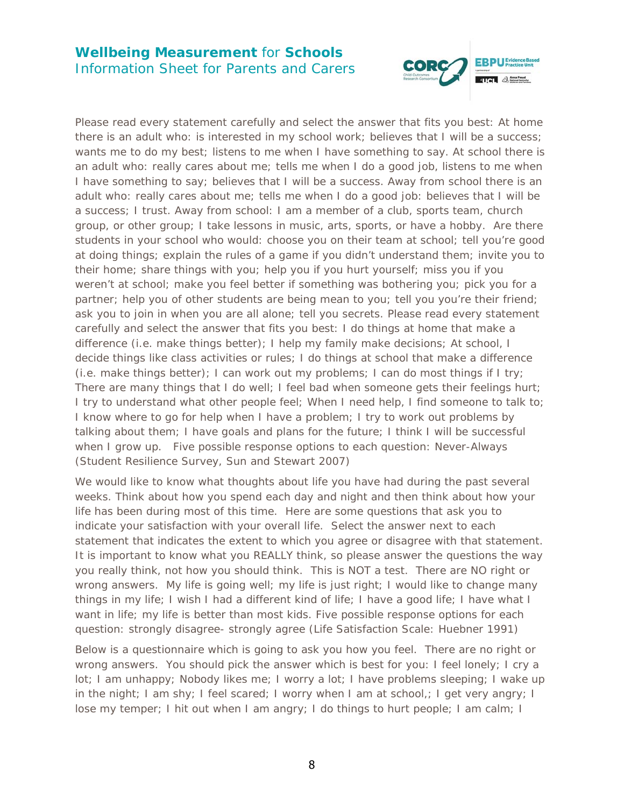# **Wellbeing Measurement** *for* **Schools**  *Information Sheet for Parents and Carers*



Please read every statement carefully and select the answer that fits you best: At home there is an adult who: is interested in my school work; believes that I will be a success; wants me to do my best; listens to me when I have something to say. At school there is an adult who: really cares about me; tells me when I do a good job, listens to me when I have something to say; believes that I will be a success. Away from school there is an adult who: really cares about me; tells me when I do a good job: believes that I will be a success; I trust. Away from school: I am a member of a club, sports team, church group, or other group; I take lessons in music, arts, sports, or have a hobby. Are there students in your school who would: choose you on their team at school; tell you're good at doing things; explain the rules of a game if you didn't understand them; invite you to their home; share things with you; help you if you hurt yourself; miss you if you weren't at school; make you feel better if something was bothering you; pick you for a partner; help you of other students are being mean to you; tell you you're their friend; ask you to join in when you are all alone; tell you secrets. Please read every statement carefully and select the answer that fits you best: I do things at home that make a difference (i.e. make things better); I help my family make decisions; At school, I decide things like class activities or rules; I do things at school that make a difference (i.e. make things better); I can work out my problems; I can do most things if I try; There are many things that I do well; I feel bad when someone gets their feelings hurt; I try to understand what other people feel; When I need help, I find someone to talk to; I know where to go for help when I have a problem; I try to work out problems by talking about them; I have goals and plans for the future; I think I will be successful when I grow up. Five possible response options to each question: Never-Always (Student Resilience Survey, Sun and Stewart 2007)

We would like to know what thoughts about life you have had during the past several weeks. Think about how you spend each day and night and then think about how your life has been during most of this time. Here are some questions that ask you to indicate your satisfaction with your overall life. Select the answer next to each statement that indicates the extent to which you agree or disagree with that statement. It is important to know what you REALLY think, so please answer the questions the way you really think, not how you should think. This is NOT a test. There are NO right or wrong answers. My life is going well; my life is just right; I would like to change many things in my life; I wish I had a different kind of life; I have a good life; I have what I want in life; my life is better than most kids. Five possible response options for each question: strongly disagree- strongly agree (Life Satisfaction Scale: Huebner 1991)

Below is a questionnaire which is going to ask you how you feel. There are no right or wrong answers. You should pick the answer which is best for you: I feel lonely; I cry a lot; I am unhappy; Nobody likes me; I worry a lot; I have problems sleeping; I wake up in the night; I am shy; I feel scared; I worry when I am at school,; I get very angry; I lose my temper; I hit out when I am angry; I do things to hurt people; I am calm; I